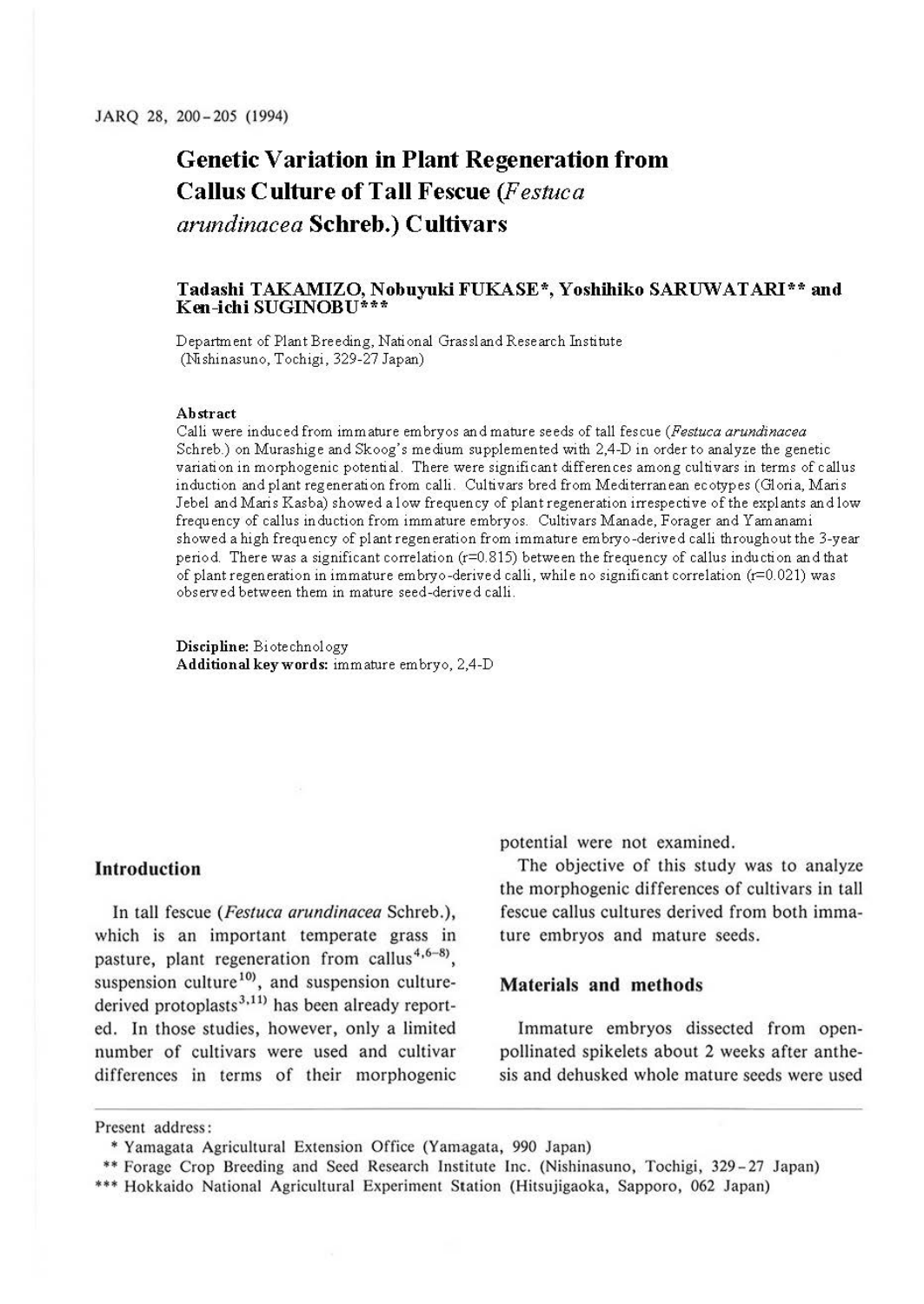**Genetic Variation in Plant Regeneration from Callus Culture of Tall Fescue** *(Festuca arundinacea* **Schreb.) Cultivars** 

### **Tadashi TAKAMIZO, N obuyuki FUKASE** \*, **Yoshihiko SARUW AT ARI\*\* and Ken-ichi SUGINOBU\*\*\***

Department of Plant Breeding, National Grassland Research Institute (Nishinasuno, Tochigi, 329-27 Japan)

#### **Abstract**

Calli were induced from immature embryos and mature seeds of tall fescue *(Festuca arundinacea*  Schreb.) on Murashige and Skoog's medium supplemented with 2,4-D in order to analyze the genetic variation in morphogenic potential. There were significant differences among cultivars in terms of callus induction and plant regeneration from calli. Cultivars bred from Mediterranean ecotypes (Gloria, Maris J ebel and Maris Kasba) showed a low frequency of plant regeneration irrespective of the explants and low frequency of callus induction from immature embryos. Cultivars Manacle, Forager and Y amanami showed a high frequency of plant regeneration from immature embryo-derived calli throughout the 3-year period. There was a significant correlation (r=0.815) between the frequency of callus induction and that of plant regeneration in immature embryo-derived calli, while no significant correlation (r=0.021) was observed between them in mature seed-derived calli.

**Discipline:** Biotechnology **Additional keywords:** immature embryo, 2,4-D

# **Introduction**

In tall fescue *(Festuca arundinacea* Schreb.), which is an important temperate grass in pasture, plant regeneration from callus<sup>4,6-8</sup>, suspension culture<sup>10</sup>, and suspension culturederived protoplasts<sup>3,11)</sup> has been already reported. In those studies, however, only a limited number of cultivars were used and cultivar differences in terms of their morphogenic

potential were not examined.

The objective of this study was to analyze the morphogenic differences of cultivars in tall fescue callus cultures derived from both immature embryos and mature seeds.

## **Materials and methods**

Immature embryos dissected from openpollinated spikelets about 2 weeks after anthesis and dehusked whole mature seeds were used

Present address:

<sup>•</sup> Yamagata Agricultural Extension Office (Yamagata, 990 Japan)

<sup>\*\*</sup> Forage Crop Breeding and Seed Research Institute Inc. (Nishinasuno, Tochigi, 329-27 Japan)

<sup>•••</sup> Hokkaido National Agricultural Experiment Station (Hitsujigaoka, Sapporo, 062 Japan)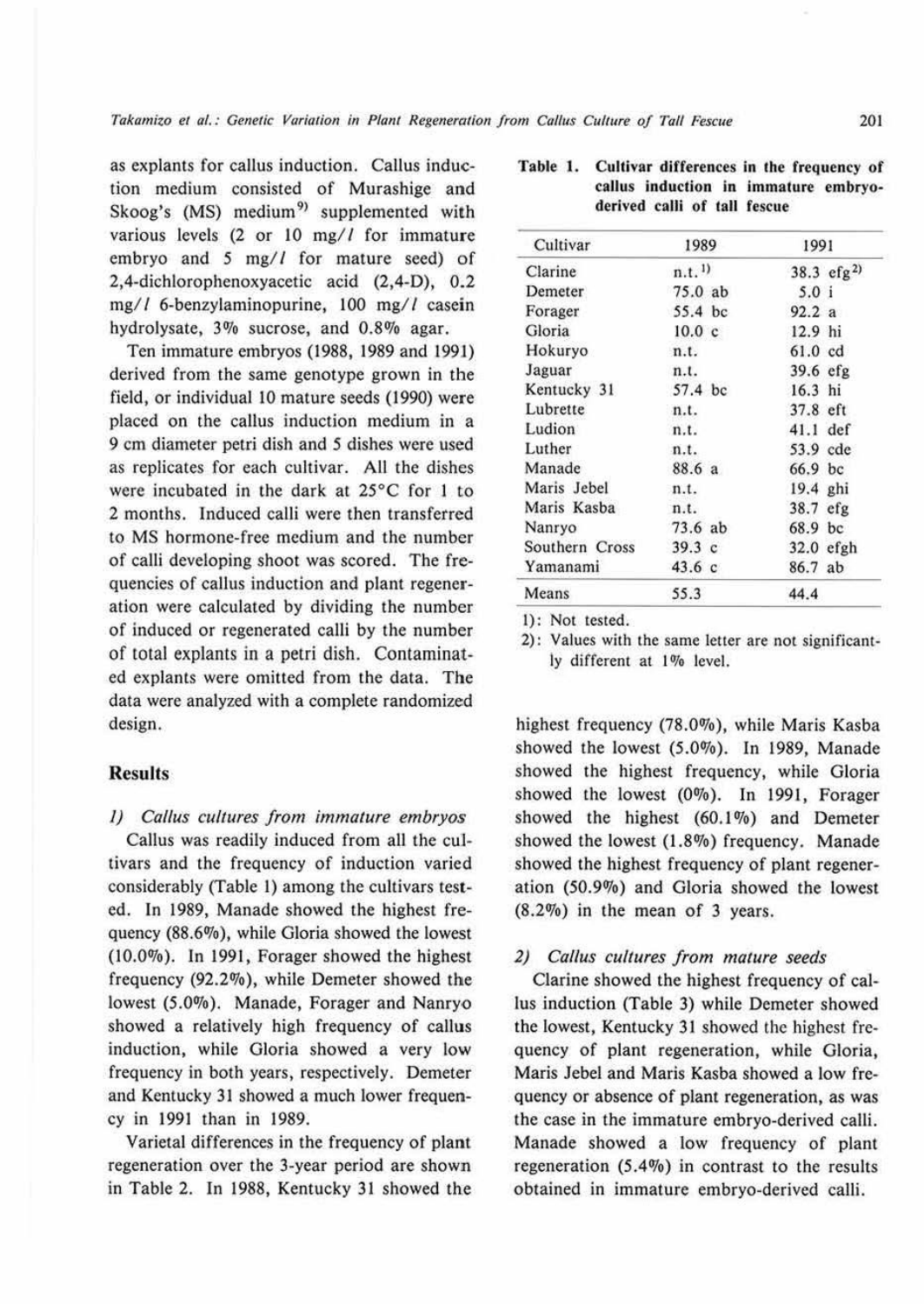as explants for callus induction. Callus induction medium consisted of Murashige and Skoog's (MS) medium<sup>9)</sup> supplemented with various levels (2 or 10 mg/ $l$  for immature embryo and  $5 \text{ mg}/l$  for mature seed) of 2,4-dichlorophenoxyacetic acid (2,4-D), 0.2 mg/l 6-benzylaminopurine, 100 mg/l casein hydrolysate, 3% sucrose, and 0.8% agar.

Ten immature embryos (1988, 1989 and 1991) derived from the same genotype grown in tbe field, or individual 10 mature seeds (1990) were placed on the callus induction medium in a 9 cm diameter petri dish and *5* dishes were used as replicates for each cultivar. All the dishes were incubated in the dark at 25°C for I to 2 months. Induced calli were then transferred to MS hormone-free medium and the number of calli developing shoot was scored. The frequencies of callus induction and plant regeneration were calculated by dividing the number of induced or regenerated calli by the number of total explants in a petri dish. Contaminated explants were omitted from the data. The data were analyzed with a complete randomized design.

#### **Results**

*1) Caffus cultures from immature embryos* 

Callus was readily induced from all the cultivars and the frequency of induction varied considerably (Table 1) among the cultivars tested. In 1989, Manade showed the highest frequency (88.6%), while Gloria showed the lowest  $(10.0\%)$ . In 1991, Forager showed the highest frequency (92.2%), while Demeter showed the lowest (5.0%). Manade, Forager and Nanryo showed a relatively high frequency of callus induction, while Gloria showed a very low frequency in both years, respectively. Demeter and Kentucky 31 showed a much lower frequency in 1991 than in 1989.

Varietal differences in the frequency of plant regeneration over the 3-year period are shown in Table 2. In 1988, Kentucky 31 showed the

| Cultivar       | 1989                 | 1991                   |  |
|----------------|----------------------|------------------------|--|
| Clarine        | $n.t.$ <sup>1)</sup> | 38.3 efg <sup>2)</sup> |  |
| Demeter        | 75.0 ab              | 5.0 i                  |  |
| Forager        | 55.4 bc              | 92.2 a                 |  |
| Gloria         | 10.0 <sub>c</sub>    | 12.9 hi                |  |
| Hokuryo        | n.t.                 | $61.0$ cd              |  |
| Jaguar         | n.t.                 | 39.6 efg               |  |
| Kentucky 31    | 57.4 bc              | $16.3$ hi              |  |
| Lubrette       | n.t.                 | 37.8 eft               |  |
| Ludion         | n.t.                 | $41.1$ def             |  |
| Luther         | n.t.                 | 53.9 cde               |  |
| Manade         | 88.6 a               | $66.9$ bc              |  |
| Maris Jebel    | n.t.                 | 19.4 ghi               |  |
| Maris Kasba    | n.t.                 | 38.7 efg               |  |
| Nanryo         | 73.6ab               | 68.9 bc                |  |
| Southern Cross | 39.3c                | $32.0$ efgh            |  |
| Yamanami       | 43.6c                | 86.7 ab                |  |
| Means          | 55.3                 | 44.4                   |  |

#### Table 1. Cultivar differences in the frequency of callus induction in immature embryoderived calli of tall fescue

I): Not tested.

2): Values with the same letter are not significantly different at 1% level.

highest frequency  $(78.0\%)$ , while Maris Kasba showed the lowest (5.0%). In 1989, Manade showed the highest frequency, while Gloria showed the lowest (0%). In 1991, Forager showed the highest  $(60.1\%)$  and Demeter showed the lowest  $(1.8\%)$  frequency. Manade showed the highest frequency of plant regeneration (50.9%) and Gloria showed the lowest (8.2%) in the mean of 3 years.

#### *2) Caffus cultures from mature seeds*

Clarine showed the highest frequency of callus induction (Table 3) while Demeter showed the lowest, Kentucky 31 showed the highest frequency of plant regeneration, while Gloria, Maris Jebel and Maris Kasba showed a low frequency or absence of plant regeneration, as was the case in the immature embryo-derived calli. Manade showed a low frequency of plant regeneration  $(5.4\%)$  in contrast to the results obtained in immature embryo-derived calli.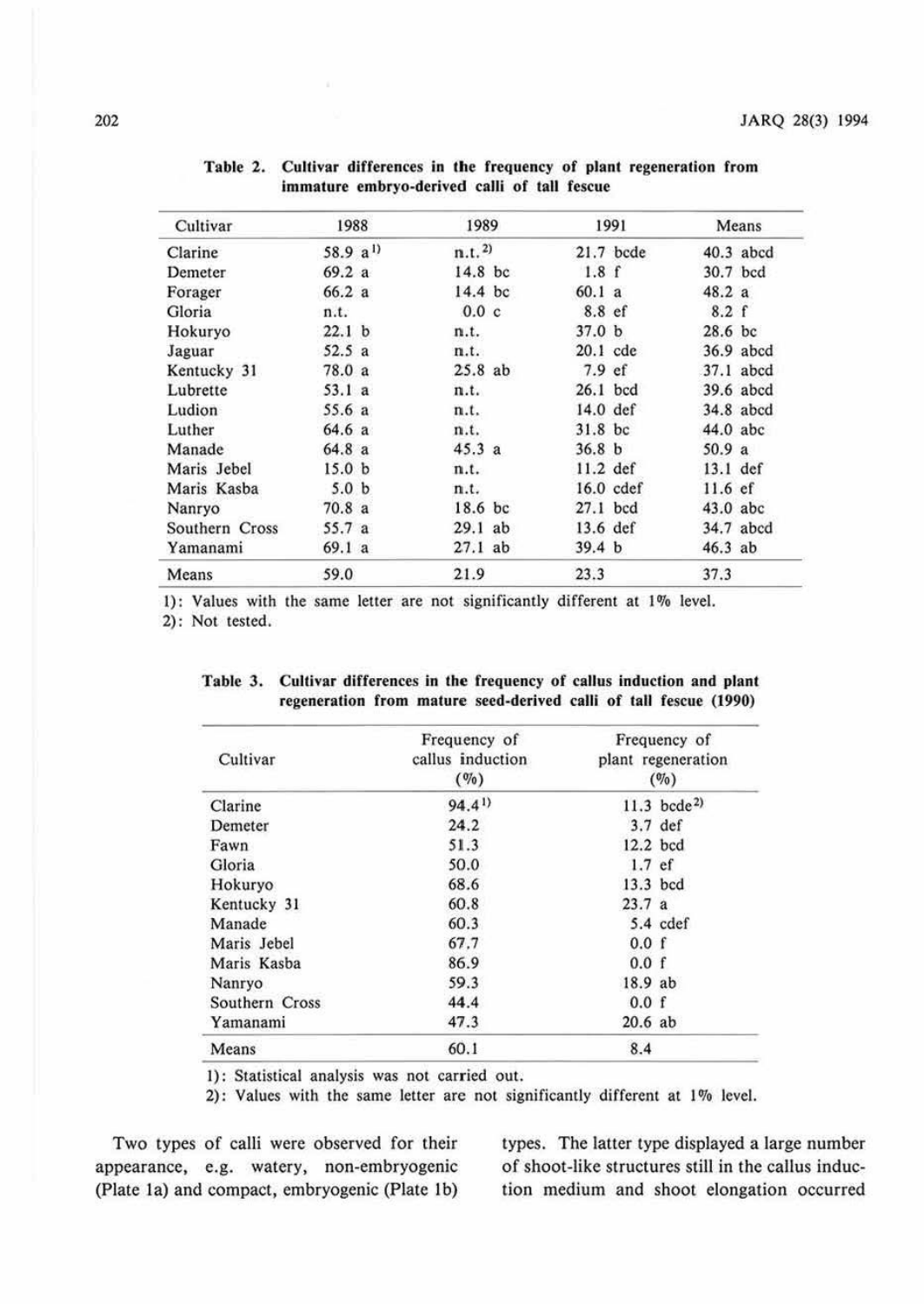| Cultivar       | 1988              | 1989                 | 1991              | Means       |
|----------------|-------------------|----------------------|-------------------|-------------|
| Clarine        | 58.9 a 1)         | $n.t.$ <sup>2)</sup> | $21.7$ bcde       | $40.3$ abcd |
| Demeter        | 69.2 a            | 14.8 bc              | 1.8 f             | 30.7 bcd    |
| Forager        | 66.2a             | 14.4 bc              | 60.1 a            | 48.2a       |
| Gloria         | n.t.              | 0.0c                 | 8.8 ef            | 8.2 f       |
| Hokuryo        | 22.1 <sub>b</sub> | n.t.                 | 37.0 <sub>b</sub> | $28.6$ bc   |
| Jaguar         | 52.5a             | n.t.                 | $20.1$ cde        | $36.9$ abcd |
| Kentucky 31    | 78.0 a            | $25.8$ ab            | 7.9 <sub>ef</sub> | 37.1 abcd   |
| Lubrette       | 53.1a             | n.t.                 | $26.1$ bcd        | $39.6$ abcd |
| Ludion         | 55.6 a            | n.t.                 | $14.0$ def        | 34.8 abcd   |
| Luther         | 64.6a             | n.t.                 | $31.8$ bc         | 44.0 abc    |
| Manade         | 64.8a             | 45.3a                | 36.8 <sub>b</sub> | 50.9a       |
| Maris Jebel    | 15.0 <sub>b</sub> | n.t.                 | $11.2$ def        | $13.1$ def  |
| Maris Kasba    | 5.0 <sub>b</sub>  | n.t.                 | $16.0$ cdef       | $11.6$ ef   |
| Nanryo         | 70.8a             | $18.6$ bc            | $27.1$ bcd        | 43.0 abc    |
| Southern Cross | 55.7a             | 29.1<br>ab           | $13.6$ def        | 34.7 abcd   |
| Yamanami       | 69.1a             | 27.1<br>ab           | 39.4 <sub>b</sub> | $46.3$ ab   |
| Means          | 59.0              | 21.9                 | 23.3              | 37.3        |

|  |                                              |  |  | Table 2. Cultivar differences in the frequency of plant regeneration from |  |
|--|----------------------------------------------|--|--|---------------------------------------------------------------------------|--|
|  | immature embryo-derived calli of tall fescue |  |  |                                                                           |  |

1): Values with the same letter are not significantly different at 1% level.

2): Not tested.

| Cultivar       | Frequency of<br>callus induction<br>(9/0) | Frequency of<br>plant regeneration<br>(0/0) |  |  |
|----------------|-------------------------------------------|---------------------------------------------|--|--|
| Clarine        | 94.41                                     | $11.3 \text{ bcde}^{2}$                     |  |  |
| Demeter        | 24.2                                      | $3.7$ def                                   |  |  |
| Fawn           | 51.3                                      | $12.2$ bcd                                  |  |  |
| Gloria         | 50.0                                      | $1.7$ ef                                    |  |  |
| Hokuryo        | 68.6                                      | $13.3$ bcd                                  |  |  |
| Kentucky 31    | 60.8                                      | 23.7a                                       |  |  |
| Manade         | 60.3                                      | $5.4$ cdef                                  |  |  |
| Maris Jebel    | 67.7                                      | 0.0 f                                       |  |  |
| Maris Kasba    | 86.9                                      | 0.0 f                                       |  |  |
| Nanryo         | 59.3                                      | $18.9$ ab                                   |  |  |
| Southern Cross | 44.4                                      | 0.0 f                                       |  |  |
| Yamanami       | 47.3                                      | $20.6$ ab                                   |  |  |
| Means          | 60.1                                      | 8.4                                         |  |  |

Table 3. Cultivar differences in the frequency of callus induction and plant regeneration from mature seed-derived calli of tall fescue (1990)

1): Statistical analysis was not carried out.

2): Values with the same letter are not significantly different at 1% level.

Two types of calli were observed for their appearance, e.g. watery, non-embryogenic (Plate 1a) and compact, embryogenic (Plate 1b) types. The latter type displayed a large number of shoot-like structures still in the callus induction medium and shoot elongation occurred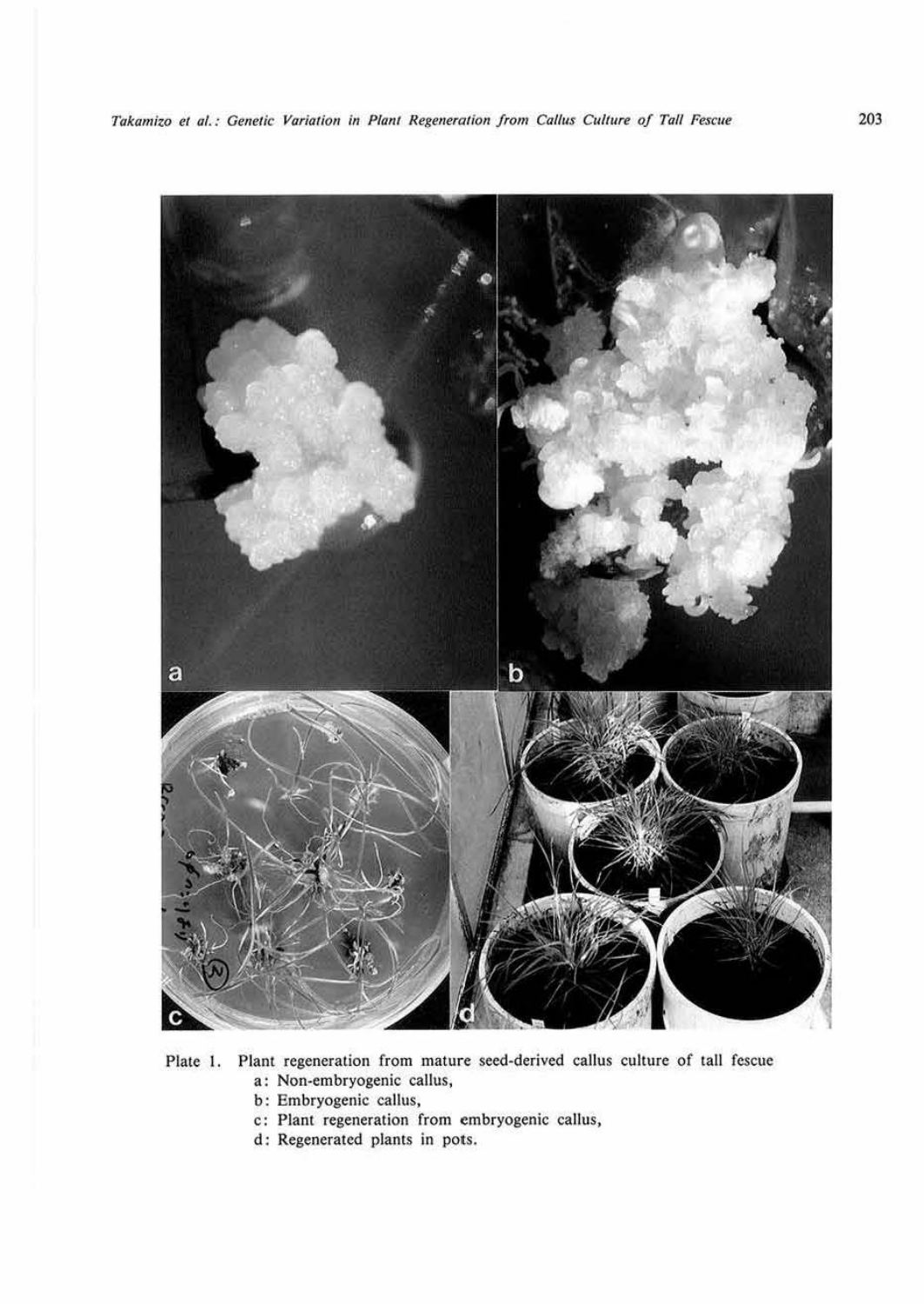

Plate 1. Plant regeneration from mature seed-derived callus culture of tall fescue a: Non-embryogenic callus,

- b: Embryogenic callus,
- c: Plant regeneration from embryogenic callus,
- d: Regenerated plants in pots.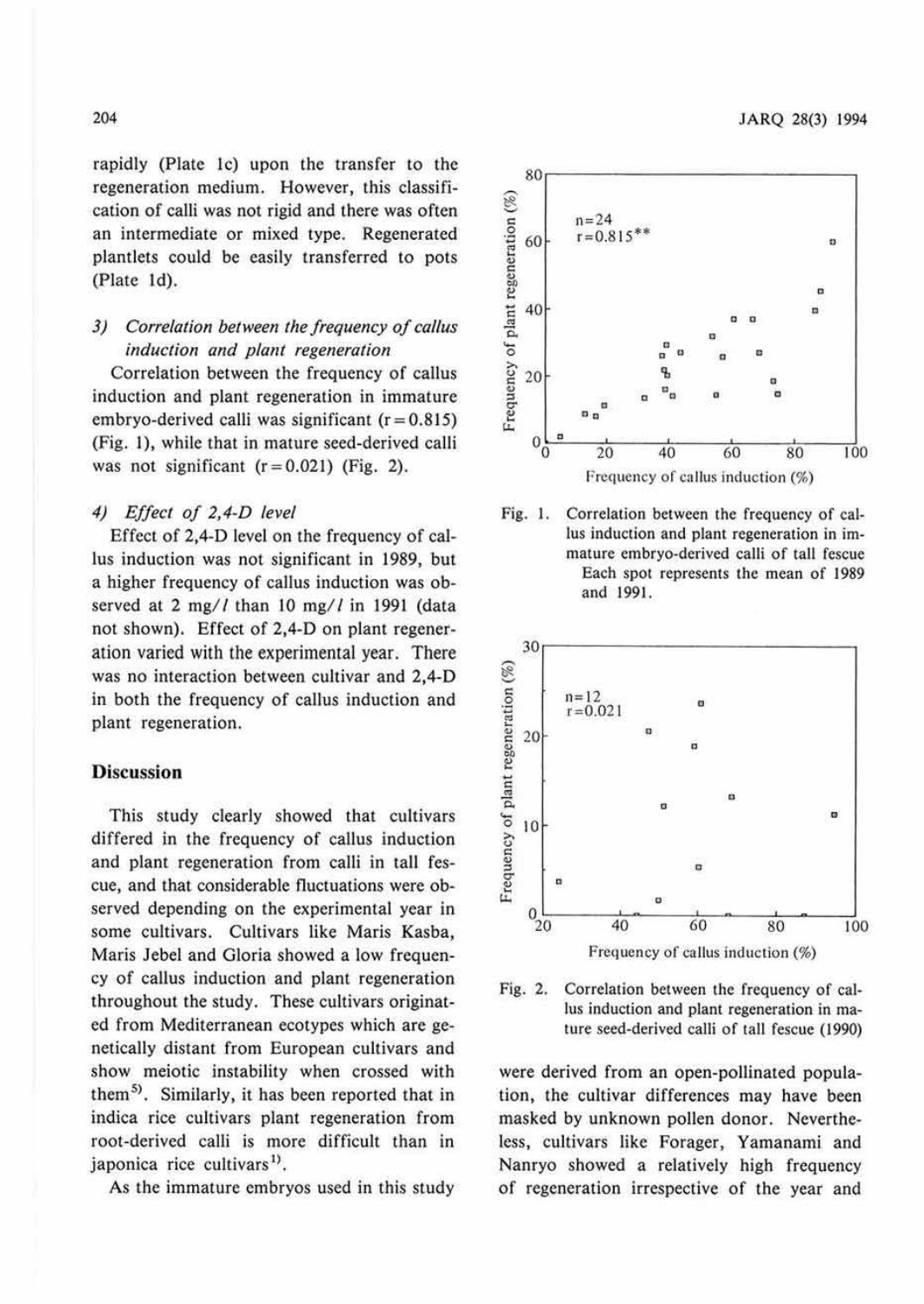rapidly (Plate le) upon the transfer to the regeneration medium. However, this classification of calli was not rigid and there was often an intermediate or mixed type. Regenerated plantlets could be easily transferred to pots (Plate Id).

# *3) Correlation between the frequency of callus induction and plant regeneration*

Correlation between the frequency of callus induction and plant regeneration in immature embryo-derived calli was significant  $(r=0.815)$ (Fig. 1), while that in mature seed-derived calli was not significant  $(r=0.021)$  (Fig. 2).

### *4) Effect of 2,4-D level*

Effect of 2,4-D level on the frequency of callus induction was not significant in 1989, but a higher frequency of callus induction was observed at 2 mg/l than 10 mg/l in 1991 (data not shown). Effect of 2,4-D on plant regeneration varied with the experimental year. There was no interaction between cultivar and 2,4-D in both the frequency of callus induction and plant regeneration.

### **Discussion**

This study clearly showed that cultivars differed in the frequency of callus induction and plant regeneration from calli in tall fescue, and that considerable fluctuations were observed depending on the experimental year in some cultivars. Cultivars like Maris Kasba, Maris Jebel and Gloria showed a low frequency of callus induction and plant regeneration throughout the study. These cultivars originated from Mediterranean ecotypes which are genetically distant from European cultivars and show meiotic instability when crossed with them<sup>5)</sup>. Similarly, it has been reported that in indica rice cultivars plant regeneration from root-derived calli is more difficult than in japonica rice cultivars<sup>1)</sup>.

As the immature embryos used in this study



Fig. J. Correlation between the frequency of callus induction and plant regeneration in immature embryo-derived calli of tall fescue Each spot represents the mean of 1989 and 1991.





were derived from an open-pollinated population, the cultivar differences may have been masked by unknown pollen donor. Nevertheless, cultivars like Forager, Yamanami and Nanryo showed a relatively high frequency of regeneration irrespective of the year and